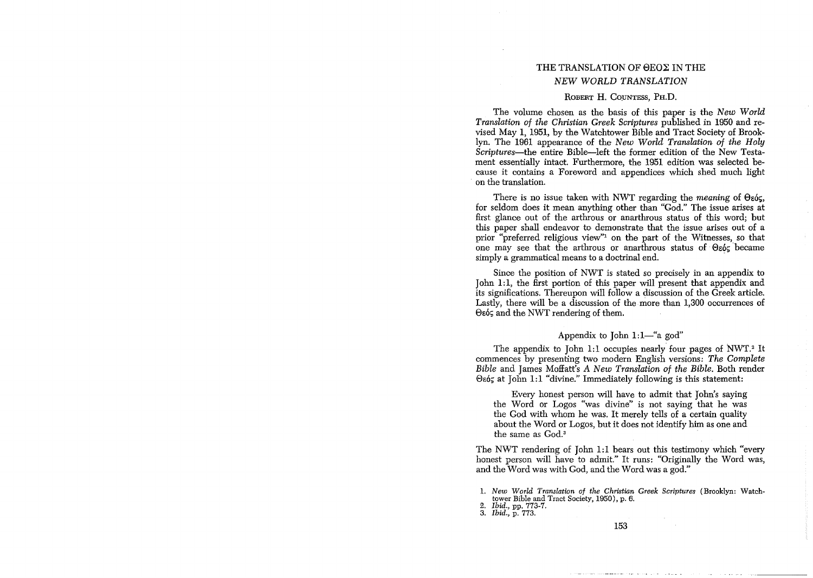# THE TRANSLATION OF OEOX IN THE *NEW WORLD TRANSLATION*

#### ROBERT H. COUNTESS, PH.D.

The volume chosen as the basis of this paper is the *New World Translation of the Christian Greek SCriptures* published in 1950 and revised May 1, 1951, by the Watchtower Bible and Tract Society of Brooklyn. The 1961 appearance of the *New World Translation of the Holy Scriptures*—the entire Bible—left the former edition of the New Testament essentially intact. Furthennore, the 1951 edition was selected because it contains a Foreword and appendices which shed much light . on the translation.

There is no issue taken with NWT regarding the *meaning* of  $\Theta$ <sub>εός</sub>, for seldom does it mean anything other than "God." The issue arises at first glance out of the arthrous or anarthrous status of this word; but this paper shall endeavor to demonstrate that the issue arises out of a prior "preferred religious view"! on the part of the Witnesses, so that one may see that the arthrous or anarthrous status of  $\Theta$  $\epsilon$ ó $\varsigma$  became simply a grammatical means to a doctrinal end.

Since the position of NWT is stated so precisely in an appendix to John 1:1, the first portion of this paper will present that appendix and its significations. Thereupon will follow a discussion of the Greek article. Lastly, there will be a discussion of the more than  $1,300$  occurrences of θεός and the NWT rendering of them.

#### Appendix to John  $1:1$ —"a god"

The appendix to John 1:1 occupies nearly four pages of NWT.<sup>2</sup> It commences by presenting two modern English versions: *The Complete Bible* and James Moffatt's A *New Translation of the Bible.* Both render  $\Theta$ εός at John 1:1 "divine." Immediately following is this statement:

Every honest person will have to admit that John's saying the Word or Logos "was divine" is not saying that he was the God with whom he was. It merely tells of a certain quality about the Word or Logos, but it does not identify him as one and the same as God.<sup>3</sup>

The NWT rendering of John 1:1 bears out this testimony which "every honest person will have to admit." It runs: "Originally the Word was, and the Word was with God, and the Word was a god."

1. *New World Translation of the Christian Greek Scriptures* (Brooklyn: Watch-

tower Bible and Tract Society, 1950), p. 6.

*2. Ibid.,* pp. 773-7.

*3. Ibid.,* p. 773.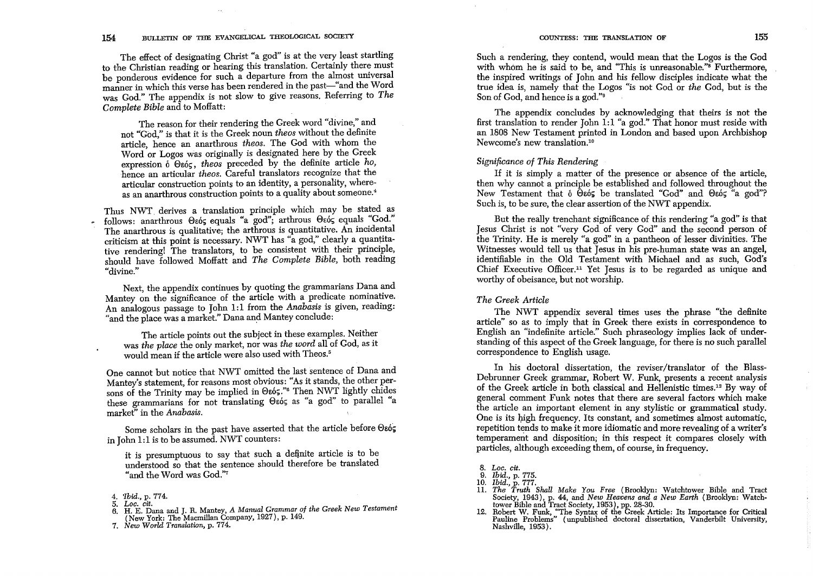### 154 BULLETIN OF THE EVANGELICAL THEOLOGICAL SOCIETY

The effect of designating Christ "a god" is at the very least startling to the Christian reading or hearing this translation. Certainly there must be ponderous evidence for such a departure from the almost universal manner in which this verse has been rendered in the past-"and the Word was God." The appendix is not slow to give reasons. Referring to *The Complete Bible* and to Moffatt:

The reason for their rendering the Greek word "divine," and not "God," is that it is the Greek noun *theos* without the definite article, hence an anarthrous *theos*. The God with whom the Word or Logos was originally is designated here by the Greek expression  $\delta$   $\Theta$ *s* $\delta$ <sub>5</sub>, *theos* preceded by the definite article *ho*, hence an articular *theos.* Careful translators recognize that the articular construction points to an identity, a personality, whereas an anarthrous construction points to a quality about someone.<sup>4</sup>

Thus NWT. derives a translation principle which may be stated as follows: anarthrous Osós equals "a god"; arthrous Osós equals "God." The anarthrous is qualitative; the arthrous is quantitative. An incidental criticism at this point is necessary. NWT has "a god," clearly a quantitative rendering! The translators, to be consistent with their principle, should have followed Moffatt and *The Complete Bible,* both reading **('divine."** 

Next, the appendix continues by quoting the grammarians Dana and Mantey on the significance of the article with a predicate nominative. An analogous passage to John 1:1 from the *Anabasis* is given, reading: "and the place was a market." Dana and Mantey conclude:

The article points out the subject in these examples. Neither was *the place* the only market, nor was *the word* all of God, as it would mean if the article were also used with Theos.<sup>5</sup>

One cannot but notice that NWT omitted the last sentence of Dana and Mantey's statement, for reasons most obvious: "As it stands, the other persons of the Trinity may be implied in  $\Theta$ εός." $\degree$  Then NWT lightly chides these grammarians for not translating Θεός as "a god" to parallel "a market" in the *Anabasis.* 

Some scholars in the past have asserted that the article before  $\Theta$ εός in John 1:1 is to be assumed. NWT counters:

it is presumptuous to say that such a definite article is to be understood so that the sentence should therefore be translated "and the Word was God."7

Such a rendering, they contend, would mean that the Logos is the God with whom he is said to be, and "This is unreasonable."<sup>8</sup> Furthermore, the inspired writings of John and his fellow disciples indicate what the true idea is, namely that the Logos "is not God or *the* God, but is the Son of God, and hence is a god."<sup>9</sup>

The appendix concludes by acknowledging that theirs is not the first translation to render John 1:1 "a god." That honor must reside with an 1808 New Testament printed in London and based upon Archbishop Newcome's new translation."<sup>o</sup>

#### *Significance of This Rendering*

If it is simply a matter of the presence or absence of the article, then why cannot a principle be established and followed throughout the New Testament that 6  $\Theta$ εός be translated "God" and  $\Theta$ εός "a god"? Such is, to be sure, the clear assertion of the NWT appendix.

But the really trenchant significance of this rendering "a god" is that Jesus Christ is not "very God of very God" and the second person of the Trinity. He is merely "a god" in a pantheon of lesser divinities. The Witnesses would tell us that Jesus in his pre-human state was an angel, identifiable in the Old Testament with Michael and as such, God's Chief Executive Officer.<sup>11</sup> Yet Jesus is to be regarded as unique and worthy of obeisance, but not worship.

## *The Greek Article*

The NWT appendix several times uses the phrase "the definite article" so as to imply that in Greek there exists in correspondence to English an "indefinite article." Such phraseology implies lack of understanding of this aspect of the Greek language, for there is no such parallel correspondence to English usage.

In his doctoral dissertation, the reviser/translator of the Blass-Debrunner Greek grammar, Robert W. Funk, presents a recent analysis of the Greek article in both classical and Hellenistic times." 2 By way of general comment Funk notes that there are several factors which make the article an important element in any stylistic or grammatical study. One is its high frequency. Its constant, and sometimes almost automatic, repetition tends to make it more idiomatic and more revealing of a writer's temperament and disposition; in this respect it compares closely with particles, although exceeding them, of course, in frequency.

- *11. The Truth Shall Make You Free* (Brooklyn: Watchtower Bible and Tract Society, 1943), p. 44, and *New Heavens and a New Earth* (Brooklyn: Watch-
- tower Bible and Tract Society, 1953), pp. 28-30. 12. Robert W. Funk, "The Syntax of the Greek Article: Its Importance for Critical Pauline Problems" (unpublished doctoral dissertation, Vanderbilt University, Nashville, 1953).

*<sup>4. &#</sup>x27;Ibid.,* p. 774.

*<sup>5.</sup> Loc. cit.* 

<sup>6.</sup> H. E. Dana and J. R. Mantey, A *Manual Grammar of the Greek New Testament*  (New York: The Macmillan Company, 1927), p. 149.

*<sup>7.</sup> New World Translation,* p. 774.

*<sup>8.</sup> Loc. cit. 9. Ibid.,* p. 775. *10. Ibid.,* p. 777.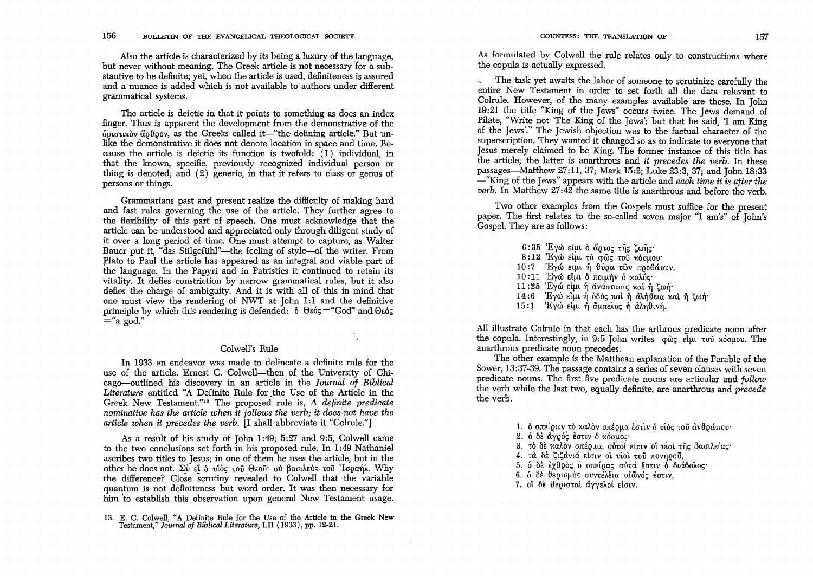Also the article is characterized by its being a luxury of the language, but never without meaning. The Greek article is not necessary for a substantive to be definite; yet, when the article is used, definiteness is assured and a nuance is added which is not available to authors under different grammatical systems.

The article is deictic in that it points to something as does an index finger. Thus is apparent the development from the demonstrative of the  $\delta$ ou $\sigma$ uxov  $\alpha$ o $\theta$ ov, as the Greeks called it—"the defining article." But unlike the demonstrative it does not denote location in space and time. Because the article is deictic its function is twofold:  $(1)$  individual, in that the known, specific, previously recognized individual person or thing is denoted; and (2) generic, in that it refers to class or genus of persons or things.

Grammarians past and present realize the difficulty of making hard and fast rules governing the use of the article. They further agree to the flexibility of this part of speech. One must acknowledge that the article can be understood and appreciated only through diligent study of it over a long period of time. One must attempt to capture, as Walter Bauer put it, "das Stilgefühl"—the feeling of style—of the writer. From Plato to Paul the article has appeared as an integral and viable part of the language. In the Papyri and in Patristics it continued to retain its vitality. It defies constriction by narrow grammatical rules, but it also defies the charge of ambiguity. And it is with all of this in mind that one must view the rendering of NWT at John 1:1 and the definitive principle by which this rendering is defended:  $\delta$   $\Theta$ εός = "God" and  $\Theta$ εός  $=$ "a god."

#### Colwell's Rule

In 1933 an endeavor was made to delineate a definite rule for the use of the article. Ernest C. Colwell-then of the University of Chicago-outlined his discovery in an article in the *Journal of Biblical Literature* entitled "A Definite Rule for .the Use of the Article in the Greek New Testament."<sup>13</sup> The proposed rule is, *A definite predicate nominative has the article when it follows the verb; it does not have the article when it precedes the verb.* [I shall abbreviate it "Colrule."]

As a result of his study of John 1:49; 5:27 and 9:5, Colwell came to the two conclusions set forth in his proposed rule. In 1:49 Nathaniel ascribes two titles to Jesus; in one of them he uses the article, but in the other he does not.  $\Sigma v$  *El 6 vioc tou*  $\Theta$ *zou ov βασιλεύς του 'Iσραήλ. Why* the difference? Close scrutiny revealed to Colwell that the variable quantum is not definiteness but word order. It was then necessary for him to establish this observation upon general New Testament usage.

As formulated by Colwell the rule relates only to constructions where the copula is actually expressed.

The task yet awaits the labor of someone to scrutinize carefully the entire New Testament in order to set forth all the data relevant to Colrule. However, of the many examples available are these. In John 19:21 the title "King of the Jews" occurs twice. The Jews demand of Pilate, "Write not 'The King of the Jews'; but that he said, 'I am King of the Jews'." The Jewish objection was to the factual character of the superscription. They wanted it changed so as to indicate to everyone that Jesus merely claimed to be King. The former instance of this title has the article; the latter is anarthrous and *it precedes the verb.* In these passages—Matthew  $27:11, 37$ ; Mark 15:2; Luke 23:3, 37; and John 18:33 - "King of the Jews" appears with the article and *each time it is after the verb.* In Matthew  $27:42$  the same title is anarthrous and before the verb.

Two other examples from the Gospels must suffice for the present paper. The first relates to the so-called seven major "I am's" of John's Gospel. They are as follows:

- $6:35$  Έγώ είμι δ ἄρτος της ζωης· 8:12 Ένω είμι το φως του *κόσμου* 10:7 Ένω ειμι ή θύρα των προβάτων.  $10:11$  Έγώ είμι δ ποιμήν δ καλός·  $11:25$  Έγώ είμι ή ανάστασις και ή ζωή
- $14:6$  'Εγώ είμι ή όδος και ή αλήθεια και ή ζωή
- $15:1$  Έγώ είμι ή άμπελος ή αληθινή.

All illustrate Colrule in that each has the arthrous predicate noun after the copula. Interestingly, in 9:5 John writes φῶς εἶμι τοῦ *κ*όσμου. The anarthrous predicate noun precedes.

The other example is the Matthean explanation of the Parable of the Sower, 13:37-39. The passage contains a series of seven clauses with seven predicate nouns. The first five predicate nouns are articular and *follow*  the verb while the last two, equally definite, are anarthrous and *precede*  the verb.

- 1. δ σπείρων τὸ καλὸν σπέρμα εστιν ο υίὸς τοῦ ἀνθρώπου·
- $2.$  δ δε άνρός έστιν δ κόσμος
- 3. τὸ δὲ καλὸν σπέρμα, οὗτοί εἰσιν οἱ υἱοὶ της βασιλείας·
- 4. τα δε ζιζάνιά είσιν οι υίοι του πονηρού,
- 5. ο δε εχθρός ο σπείρας αύτά εστιν ο διάβολος·
- 6.  $\delta$   $\delta$ è θεοισμός συντέλεια αιωνός έστιν.
- 7. ot δε θεοισταί άγγελοί είσιν.

<sup>13.</sup> E. C. Colwell, "A Definite Rule for the Use of the Article in the Greek New Testament," *Journal of Biblical Literature,* LII (1933), pp. 12-21.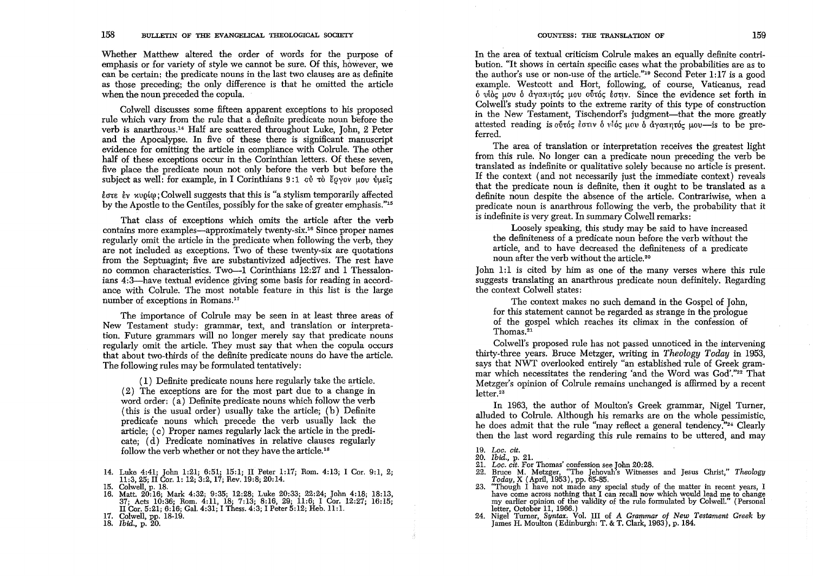Whether Matthew altered the order of words for the purpose of emphasis or for variety of style we cannot be sure. Of this, however, we can be certain; the predicate nouns in the last two clauses are as definite as those preceding; the only difference is that he omitted the article when the noun preceded the copula.

Colwell discusses some fifteen apparent exceptions to his proposed rule which vary from the rule that a definite predicate noun before the verb is anarthrous.14 Half are scattered throughout Luke, John, 2 Peter and the Apocalypse. In five of these there is significant manuscript evidence for omitting the article in compliance with Colrule. The other half of these exceptions occur in the Corinthian letters. Of these seven, five place the predicate noun not only before the verb but before the subject as well: for example, in I Corinthians  $9:1$  cd  $\tau$   $\delta$   $\ell$   $\delta$   $\gamma$   $\delta$   $\delta$   $\gamma$   $\delta$   $\delta$   $\gamma$   $\delta$   $\delta$   $\delta$   $\gamma$   $\delta$   $\delta$   $\delta$   $\gamma$   $\delta$   $\delta$   $\delta$   $\gamma$   $\delta$   $\delta$   $\delta$   $\gamma$   $\delta$   $\delta$   $\delta$   $\gamma$   $\delta$   $\delta$ 

 $\epsilon$  is  $\epsilon$  is  $\epsilon$  worm  $\epsilon$ . Colwell suggests that this is "a stylism temporarily affected by the Apostle to the Gentiles, possibly for the sake of greater emphasis."15

That class of exceptions which omits the article after the verb contains more examples—approximately twenty-six.<sup>16</sup> Since proper names regularly omit the article in the predicate when following the verb, they are not included as exceptions. Two of these twenty-six are quotations from the Septuagint; five are substantivized adjectives. The rest have no common characteristics. Two-1 Corinthians 12:27 and 1 Thessalonians 4:3—have textual evidence giving some basis for reading in accordance with Colrule. The most notable feature in this list is the large number of exceptions in Romans.<sup>17</sup>

The importance of Colrule may be seen in at least three areas of New Testament study: grammar, text, and translation or interpretation. Future grammars will no longer merely say that predicate nouns regularly omit the article. They must say that when the copula occurs that about two-thirds of the definite predicate' nouns do have the article. The following rules may be formulated tentatively:

 $(1)$  Definite predicate nouns here regularly take the article. (2) The exceptions are for the most part due to a change in word order: (a) Definite predicate nouns which follow the verb (this is the usual order) usually take the article; (b) Definite predicate nouns which precede the verb usually lack the article; (c) Proper names regularly lack the article in the predicate; (d) Predicate nominatives in relative clauses regularly follow the verb whether or not they have the article.18

In the area of textual criticism Colrule makes an equally definite contribution. "It shows in certain specific cases what the probabilities are as to the author's use or non-use of the article."19 Second Peter 1:17 is a good example. Westcott and Hort, following, of course, Vaticanus, read  $\delta$  υίὸς μου δ ἀγαπητός μου οὖτός έστιν. Since the evidence set forth in Colwell's study points to the extreme rarity of this type of construction in the New Testament, Tischendorf's judgment—that the more greatly attested reading is obto  $\epsilon$  equiverently and  $\epsilon$  avantuated  $\epsilon$  and  $\epsilon$  is to be preferred.

The area of translation or interpretation receives the greatest light from this rule. No longer can a predicate noun preceding the verb be translated as indefinite or qualitative solely because no article is present. If the context (and not necessarily just the immediate context) reveals that the predicate noun is definite, then it ought to be translated as a definite noun despite the absence of the article. Contrariwise, when a predicate noun is anarthrous following the verb, the probability that it is indefinite is very great. In summary Colwell remarks:

Loosely speaking, this study may be said to have increased the definiteness of a predicate noun before the verb without the article, and to have decreased the definiteness of a predicate noun after the verb without the article.<sup>20</sup>

John 1:1 is cited by him as one of the many verses where this rule suggests translating an anarthrous predicate noun definitely. Regarding the context Colwell states:

The context makes no such demand in the Gospel of John, for this statement cannot be regarded as strange in the prologue of the gospel which reaches its climax in the confession of Thomas.21

Colwell's proposed rule has not passed unnoticed in the intervening thirty-three years. Bruce Metzger, writing in *Theology Today* in 1953, says that NWT overlooked entirely "an established rule of Greek grammar which necessitates the rendering 'and the Word was God'."22 That Metzger's opinion of Colrule remains unchanged is affirmed by a recent  $letter.<sup>23</sup>$ 

In 1963, the author of Moulton's Greek grammar, Nigel Turner, alluded to Colrule. Although his remarks are on the whole pessimistic, he does admit that the rule "may reflect a general tendency."<sup>24</sup> Clearly then the last word regarding this rule remains to be uttered, and may

- 
- 
- 21. Loc. cit. For Thomas' confession see John 20:28.<br>
22. Bruce M. Metzger, "The Jehovah's Witnesses and Jesus Christ," Theology Today, X (April, 1953), pp. 65-85.<br>
23. "Though I have not made any special study of the mat my earlier opinion of the validity of the rule formulated by Colwell." (Personal
- letter, October 11, 1966.) . 24. Nigel Turner, *Syntax.* Vol. III of A *Grammar of New Testament Greek* by James H. Moulton (Edinburgh: T. & T. Clark, 1963), p. 184.

<sup>14.</sup> Luke 4:41; John 1:21; 6:51; 15:1; II Peter 1:17; Rom. 4:13; I Cor. 9:1, 2; 11:3,25; II Cor. 1: 12; 3:2, 17; Rev. 19:8; 20:14.

<sup>15.</sup> Colwell, p. 18.<br>16. Matt. 20:16; Mark 4:32; 9:35; 12:28; Luke 20:33; 22:24; John 4:18; 18:13,<br>37; Acts 10:36; Rom. 4:11, 18; 7:13; 8:16, 29; 11:6; I Cor. 12:27; 16:15;<br>II Cor. 5:21; 6:16; Gal. 4:31; I Thess. 4:3; I Pet

<sup>17.</sup> Colwell, pp. 18-19.

<sup>18.</sup> *Ibid.,* p. 20.

*<sup>19.</sup> Loc. cit.* 

*<sup>20.</sup> Ibid.,* p. 21.